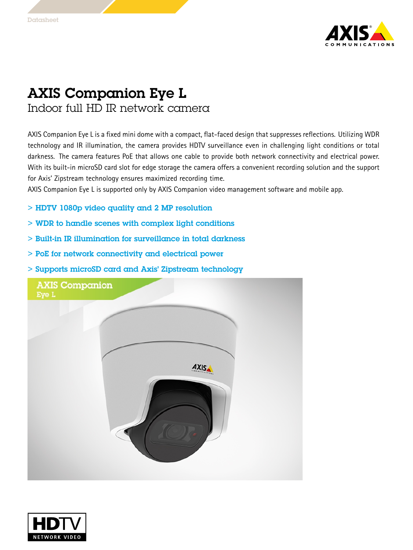

## AXIS Companion Eye L Indoor full HD IR network camera

AXIS Companion Eye L is <sup>a</sup> fixed mini dome with <sup>a</sup> compact, flat-faced design that suppresses reflections. Utilizing WDR technology and IR illumination, the camera provides HDTV surveillance even in challenging light conditions or total darkness. The camera features PoE that allows one cable to provide both network connectivity and electrical power. With its built-in microSD card slot for edge storage the camera offers <sup>a</sup> convenient recording solution and the support for Axis' Zipstream technology ensures maximized recording time.

AXIS Companion Eye L is supported only by AXIS Companion video management software and mobile app.

- > HDTV 1080p video quality and 2 MP resolution
- > WDR to handle scenes with complex light conditions
- > Built-in IR illumination for surveillance in total darkness
- > PoE for network connectivity and electrical power
- > Supports microSD card and Axis' Zipstream technology